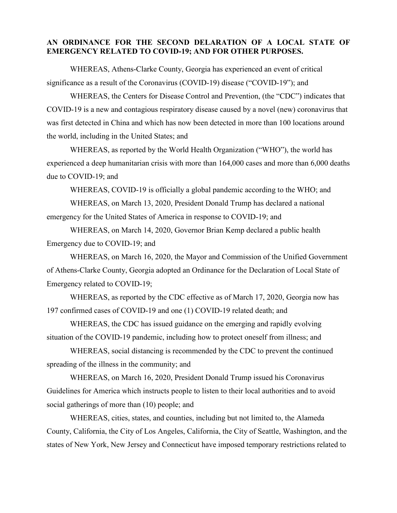## **AN ORDINANCE FOR THE SECOND DELARATION OF A LOCAL STATE OF EMERGENCY RELATED TO COVID-19; AND FOR OTHER PURPOSES.**

WHEREAS, Athens-Clarke County, Georgia has experienced an event of critical significance as a result of the Coronavirus (COVID-19) disease ("COVID-19"); and

WHEREAS, the Centers for Disease Control and Prevention, (the "CDC") indicates that COVID-19 is a new and contagious respiratory disease caused by a novel (new) coronavirus that was first detected in China and which has now been detected in more than 100 locations around the world, including in the United States; and

WHEREAS, as reported by the World Health Organization ("WHO"), the world has experienced a deep humanitarian crisis with more than 164,000 cases and more than 6,000 deaths due to COVID-19; and

WHEREAS, COVID-19 is officially a global pandemic according to the WHO; and

WHEREAS, on March 13, 2020, President Donald Trump has declared a national emergency for the United States of America in response to COVID-19; and

WHEREAS, on March 14, 2020, Governor Brian Kemp declared a public health Emergency due to COVID-19; and

WHEREAS, on March 16, 2020, the Mayor and Commission of the Unified Government of Athens-Clarke County, Georgia adopted an Ordinance for the Declaration of Local State of Emergency related to COVID-19;

WHEREAS, as reported by the CDC effective as of March 17, 2020, Georgia now has 197 confirmed cases of COVID-19 and one (1) COVID-19 related death; and

WHEREAS, the CDC has issued guidance on the emerging and rapidly evolving situation of the COVID-19 pandemic, including how to protect oneself from illness; and

WHEREAS, social distancing is recommended by the CDC to prevent the continued spreading of the illness in the community; and

WHEREAS, on March 16, 2020, President Donald Trump issued his Coronavirus Guidelines for America which instructs people to listen to their local authorities and to avoid social gatherings of more than (10) people; and

WHEREAS, cities, states, and counties, including but not limited to, the Alameda County, California, the City of Los Angeles, California, the City of Seattle, Washington, and the states of New York, New Jersey and Connecticut have imposed temporary restrictions related to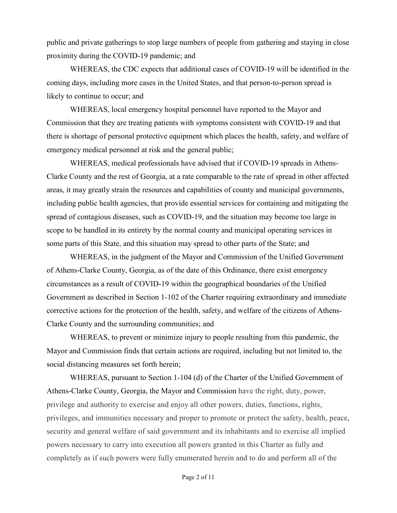public and private gatherings to stop large numbers of people from gathering and staying in close proximity during the COVID-19 pandemic; and

WHEREAS, the CDC expects that additional cases of COVID-19 will be identified in the coming days, including more cases in the United States, and that person-to-person spread is likely to continue to occur; and

WHEREAS, local emergency hospital personnel have reported to the Mayor and Commission that they are treating patients with symptoms consistent with COVID-19 and that there is shortage of personal protective equipment which places the health, safety, and welfare of emergency medical personnel at risk and the general public;

WHEREAS, medical professionals have advised that if COVID-19 spreads in Athens-Clarke County and the rest of Georgia, at a rate comparable to the rate of spread in other affected areas, it may greatly strain the resources and capabilities of county and municipal governments, including public health agencies, that provide essential services for containing and mitigating the spread of contagious diseases, such as COVID-19, and the situation may become too large in scope to be handled in its entirety by the normal county and municipal operating services in some parts of this State, and this situation may spread to other parts of the State; and

WHEREAS, in the judgment of the Mayor and Commission of the Unified Government of Athens-Clarke County, Georgia, as of the date of this Ordinance, there exist emergency circumstances as a result of COVID-19 within the geographical boundaries of the Unified Government as described in Section 1-102 of the Charter requiring extraordinary and immediate corrective actions for the protection of the health, safety, and welfare of the citizens of Athens-Clarke County and the surrounding communities; and

WHEREAS, to prevent or minimize injury to people resulting from this pandemic, the Mayor and Commission finds that certain actions are required, including but not limited to, the social distancing measures set forth herein;

WHEREAS, pursuant to Section 1-104 (d) of the Charter of the Unified Government of Athens-Clarke County, Georgia, the Mayor and Commission have the right, duty, power, privilege and authority to exercise and enjoy all other powers, duties, functions, rights, privileges, and immunities necessary and proper to promote or protect the safety, health, peace, security and general welfare of said government and its inhabitants and to exercise all implied powers necessary to carry into execution all powers granted in this Charter as fully and completely as if such powers were fully enumerated herein and to do and perform all of the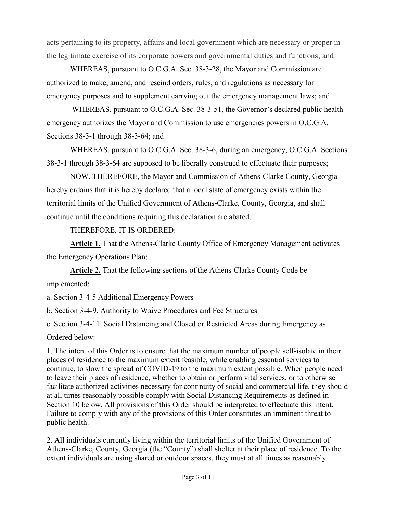acts pertaining to its property, affairs and local government which are necessary or proper in the legitimate exercise of its corporate powers and governmental duties and functions; and

WHEREAS, pursuant to O.C.G.A. Sec. 38-3-28, the Mayor and Commission are authorized to make, amend, and rescind orders, rules, and regulations as necessary for emergency purposes and to supplement carrying out the emergency management laws; and

WHEREAS, pursuant to O.C.G.A. Sec. 38-3-51, the Governor's declared public health emergency authorizes the Mayor and Commission to use emergencies powers in O.C.G.A. Sections 38-3-1 through 38-3-64; and

WHEREAS, pursuant to O.C.G.A. Sec. 38-3-6, during an emergency, O.C.G.A. Sections 38-3-1 through 38-3-64 are supposed to be liberally construed to effectuate their purposes;

NOW, THEREFORE, the Mayor and Commission of Athens-Clarke County, Georgia hereby ordains that it is hereby declared that a local state of emergency exists within the territorial limits of the Unified Government of Athens-Clarke, County, Georgia, and shall continue until the conditions requiring this declaration are abated.

THEREFORE, IT IS ORDERED:

**Article 1.** That the Athens-Clarke County Office of Emergency Management activates the Emergency Operations Plan;

**Article 2.** That the following sections of the Athens-Clarke County Code be implemented:

a. Section 3-4-5 Additional Emergency Powers

b. Section 3-4-9. Authority to Waive Procedures and Fee Structures

c. Section 3-4-11. Social Distancing and Closed or Restricted Areas during Emergency as

Ordered below:

1. The intent of this Order is to ensure that the maximum number of people self-isolate in their places of residence to the maximum extent feasible, while enabling essential services to continue, to slow the spread of COVID-19 to the maximum extent possible. When people need to leave their places of residence, whether to obtain or perform vital services, or to otherwise facilitate authorized activities necessary for continuity of social and commercial life, they should at all times reasonably possible comply with Social Distancing Requirements as defined in Section 10 below. All provisions of this Order should be interpreted to effectuate this intent. Failure to comply with any of the provisions of this Order constitutes an imminent threat to public health.

2. All individuals currently living within the territorial limits of the Unified Government of Athens-Clarke, County, Georgia (the "County") shall shelter at their place of residence. To the extent individuals are using shared or outdoor spaces, they must at all times as reasonably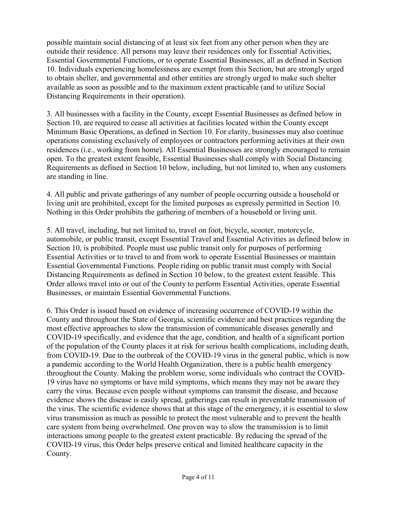possible maintain social distancing of at least six feet from any other person when they are outside their residence. All persons may leave their residences only for Essential Activities, Essential Governmental Functions, or to operate Essential Businesses, all as defined in Section 10. Individuals experiencing homelessness are exempt from this Section, but are strongly urged to obtain shelter, and governmental and other entities are strongly urged to make such shelter available as soon as possible and to the maximum extent practicable (and to utilize Social Distancing Requirements in their operation).

3. All businesses with a facility in the County, except Essential Businesses as defined below in Section 10, are required to cease all activities at facilities located within the County except Minimum Basic Operations, as defined in Section 10. For clarity, businesses may also continue operations consisting exclusively of employees or contractors performing activities at their own residences (i.e., working from home). All Essential Businesses are strongly encouraged to remain open. To the greatest extent feasible, Essential Businesses shall comply with Social Distancing Requirements as defined in Section 10 below, including, but not limited to, when any customers are standing in line.

4. All public and private gatherings of any number of people occurring outside a household or living unit are prohibited, except for the limited purposes as expressly permitted in Section 10. Nothing in this Order prohibits the gathering of members of a household or living unit.

5. All travel, including, but not limited to, travel on foot, bicycle, scooter, motorcycle, automobile, or public transit, except Essential Travel and Essential Activities as defined below in Section 10, is prohibited. People must use public transit only for purposes of performing Essential Activities or to travel to and from work to operate Essential Businesses or maintain Essential Governmental Functions. People riding on public transit must comply with Social Distancing Requirements as defined in Section 10 below, to the greatest extent feasible. This Order allows travel into or out of the County to perform Essential Activities, operate Essential Businesses, or maintain Essential Governmental Functions.

6. This Order is issued based on evidence of increasing occurrence of COVID-19 within the County and throughout the State of Georgia, scientific evidence and best practices regarding the most effective approaches to slow the transmission of communicable diseases generally and COVID-19 specifically, and evidence that the age, condition, and health of a significant portion of the population of the County places it at risk for serious health complications, including death, from COVID-19. Due to the outbreak of the COVID-19 virus in the general public, which is now a pandemic according to the World Health Organization, there is a public health emergency throughout the County. Making the problem worse, some individuals who contract the COVID-19 virus have no symptoms or have mild symptoms, which means they may not be aware they carry the virus. Because even people without symptoms can transmit the disease, and because evidence shows the disease is easily spread, gatherings can result in preventable transmission of the virus. The scientific evidence shows that at this stage of the emergency, it is essential to slow virus transmission as much as possible to protect the most vulnerable and to prevent the health care system from being overwhelmed. One proven way to slow the transmission is to limit interactions among people to the greatest extent practicable. By reducing the spread of the COVID-19 virus, this Order helps preserve critical and limited healthcare capacity in the County.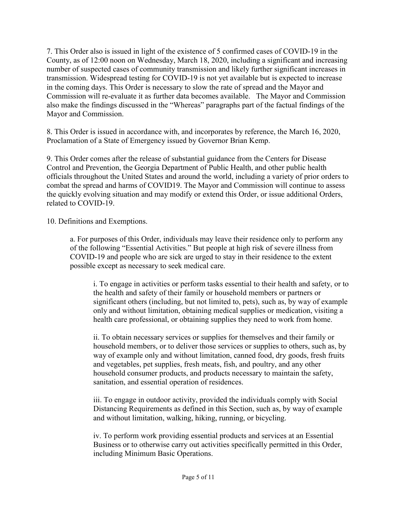7. This Order also is issued in light of the existence of 5 confirmed cases of COVID-19 in the County, as of 12:00 noon on Wednesday, March 18, 2020, including a significant and increasing number of suspected cases of community transmission and likely further significant increases in transmission. Widespread testing for COVID-19 is not yet available but is expected to increase in the coming days. This Order is necessary to slow the rate of spread and the Mayor and Commission will re-evaluate it as further data becomes available. The Mayor and Commission also make the findings discussed in the "Whereas" paragraphs part of the factual findings of the Mayor and Commission.

8. This Order is issued in accordance with, and incorporates by reference, the March 16, 2020, Proclamation of a State of Emergency issued by Governor Brian Kemp.

9. This Order comes after the release of substantial guidance from the Centers for Disease Control and Prevention, the Georgia Department of Public Health, and other public health officials throughout the United States and around the world, including a variety of prior orders to combat the spread and harms of COVID19. The Mayor and Commission will continue to assess the quickly evolving situation and may modify or extend this Order, or issue additional Orders, related to COVID-19.

10. Definitions and Exemptions.

a. For purposes of this Order, individuals may leave their residence only to perform any of the following "Essential Activities." But people at high risk of severe illness from COVID-19 and people who are sick are urged to stay in their residence to the extent possible except as necessary to seek medical care.

i. To engage in activities or perform tasks essential to their health and safety, or to the health and safety of their family or household members or partners or significant others (including, but not limited to, pets), such as, by way of example only and without limitation, obtaining medical supplies or medication, visiting a health care professional, or obtaining supplies they need to work from home.

ii. To obtain necessary services or supplies for themselves and their family or household members, or to deliver those services or supplies to others, such as, by way of example only and without limitation, canned food, dry goods, fresh fruits and vegetables, pet supplies, fresh meats, fish, and poultry, and any other household consumer products, and products necessary to maintain the safety, sanitation, and essential operation of residences.

iii. To engage in outdoor activity, provided the individuals comply with Social Distancing Requirements as defined in this Section, such as, by way of example and without limitation, walking, hiking, running, or bicycling.

iv. To perform work providing essential products and services at an Essential Business or to otherwise carry out activities specifically permitted in this Order, including Minimum Basic Operations.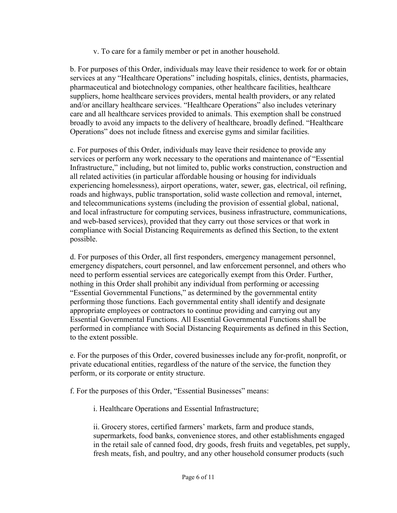v. To care for a family member or pet in another household.

b. For purposes of this Order, individuals may leave their residence to work for or obtain services at any "Healthcare Operations" including hospitals, clinics, dentists, pharmacies, pharmaceutical and biotechnology companies, other healthcare facilities, healthcare suppliers, home healthcare services providers, mental health providers, or any related and/or ancillary healthcare services. "Healthcare Operations" also includes veterinary care and all healthcare services provided to animals. This exemption shall be construed broadly to avoid any impacts to the delivery of healthcare, broadly defined. "Healthcare Operations" does not include fitness and exercise gyms and similar facilities.

c. For purposes of this Order, individuals may leave their residence to provide any services or perform any work necessary to the operations and maintenance of "Essential Infrastructure," including, but not limited to, public works construction, construction and all related activities (in particular affordable housing or housing for individuals experiencing homelessness), airport operations, water, sewer, gas, electrical, oil refining, roads and highways, public transportation, solid waste collection and removal, internet, and telecommunications systems (including the provision of essential global, national, and local infrastructure for computing services, business infrastructure, communications, and web-based services), provided that they carry out those services or that work in compliance with Social Distancing Requirements as defined this Section, to the extent possible.

d. For purposes of this Order, all first responders, emergency management personnel, emergency dispatchers, court personnel, and law enforcement personnel, and others who need to perform essential services are categorically exempt from this Order. Further, nothing in this Order shall prohibit any individual from performing or accessing "Essential Governmental Functions," as determined by the governmental entity performing those functions. Each governmental entity shall identify and designate appropriate employees or contractors to continue providing and carrying out any Essential Governmental Functions. All Essential Governmental Functions shall be performed in compliance with Social Distancing Requirements as defined in this Section, to the extent possible.

e. For the purposes of this Order, covered businesses include any for-profit, nonprofit, or private educational entities, regardless of the nature of the service, the function they perform, or its corporate or entity structure.

f. For the purposes of this Order, "Essential Businesses" means:

i. Healthcare Operations and Essential Infrastructure;

ii. Grocery stores, certified farmers' markets, farm and produce stands, supermarkets, food banks, convenience stores, and other establishments engaged in the retail sale of canned food, dry goods, fresh fruits and vegetables, pet supply, fresh meats, fish, and poultry, and any other household consumer products (such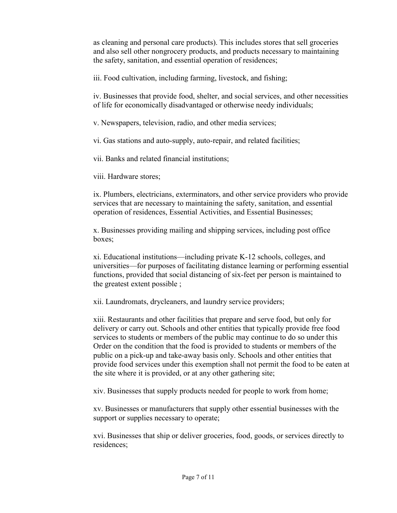as cleaning and personal care products). This includes stores that sell groceries and also sell other nongrocery products, and products necessary to maintaining the safety, sanitation, and essential operation of residences;

iii. Food cultivation, including farming, livestock, and fishing;

iv. Businesses that provide food, shelter, and social services, and other necessities of life for economically disadvantaged or otherwise needy individuals;

v. Newspapers, television, radio, and other media services;

vi. Gas stations and auto-supply, auto-repair, and related facilities;

vii. Banks and related financial institutions;

viii. Hardware stores;

ix. Plumbers, electricians, exterminators, and other service providers who provide services that are necessary to maintaining the safety, sanitation, and essential operation of residences, Essential Activities, and Essential Businesses;

x. Businesses providing mailing and shipping services, including post office boxes;

xi. Educational institutions—including private K-12 schools, colleges, and universities—for purposes of facilitating distance learning or performing essential functions, provided that social distancing of six-feet per person is maintained to the greatest extent possible ;

xii. Laundromats, drycleaners, and laundry service providers;

xiii. Restaurants and other facilities that prepare and serve food, but only for delivery or carry out. Schools and other entities that typically provide free food services to students or members of the public may continue to do so under this Order on the condition that the food is provided to students or members of the public on a pick-up and take-away basis only. Schools and other entities that provide food services under this exemption shall not permit the food to be eaten at the site where it is provided, or at any other gathering site;

xiv. Businesses that supply products needed for people to work from home;

xv. Businesses or manufacturers that supply other essential businesses with the support or supplies necessary to operate;

xvi. Businesses that ship or deliver groceries, food, goods, or services directly to residences;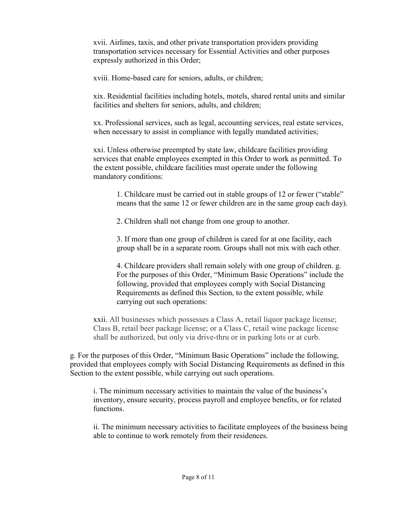xvii. Airlines, taxis, and other private transportation providers providing transportation services necessary for Essential Activities and other purposes expressly authorized in this Order;

xviii. Home-based care for seniors, adults, or children;

xix. Residential facilities including hotels, motels, shared rental units and similar facilities and shelters for seniors, adults, and children;

xx. Professional services, such as legal, accounting services, real estate services, when necessary to assist in compliance with legally mandated activities;

xxi. Unless otherwise preempted by state law, childcare facilities providing services that enable employees exempted in this Order to work as permitted. To the extent possible, childcare facilities must operate under the following mandatory conditions:

1. Childcare must be carried out in stable groups of 12 or fewer ("stable" means that the same 12 or fewer children are in the same group each day).

2. Children shall not change from one group to another.

3. If more than one group of children is cared for at one facility, each group shall be in a separate room. Groups shall not mix with each other.

4. Childcare providers shall remain solely with one group of children. g. For the purposes of this Order, "Minimum Basic Operations" include the following, provided that employees comply with Social Distancing Requirements as defined this Section, to the extent possible, while carrying out such operations:

xxii. All businesses which possesses a Class A, retail liquor package license; Class B, retail beer package license; or a Class C, retail wine package license shall be authorized, but only via drive-thru or in parking lots or at curb.

g. For the purposes of this Order, "Minimum Basic Operations" include the following, provided that employees comply with Social Distancing Requirements as defined in this Section to the extent possible, while carrying out such operations.

i. The minimum necessary activities to maintain the value of the business's inventory, ensure security, process payroll and employee benefits, or for related functions.

ii. The minimum necessary activities to facilitate employees of the business being able to continue to work remotely from their residences.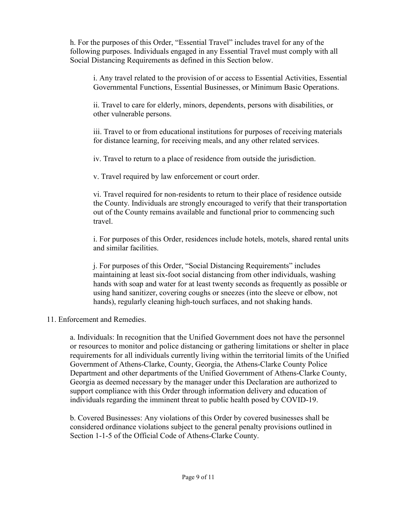h. For the purposes of this Order, "Essential Travel" includes travel for any of the following purposes. Individuals engaged in any Essential Travel must comply with all Social Distancing Requirements as defined in this Section below.

i. Any travel related to the provision of or access to Essential Activities, Essential Governmental Functions, Essential Businesses, or Minimum Basic Operations.

ii. Travel to care for elderly, minors, dependents, persons with disabilities, or other vulnerable persons.

iii. Travel to or from educational institutions for purposes of receiving materials for distance learning, for receiving meals, and any other related services.

iv. Travel to return to a place of residence from outside the jurisdiction.

v. Travel required by law enforcement or court order.

vi. Travel required for non-residents to return to their place of residence outside the County. Individuals are strongly encouraged to verify that their transportation out of the County remains available and functional prior to commencing such travel.

i. For purposes of this Order, residences include hotels, motels, shared rental units and similar facilities.

j. For purposes of this Order, "Social Distancing Requirements" includes maintaining at least six-foot social distancing from other individuals, washing hands with soap and water for at least twenty seconds as frequently as possible or using hand sanitizer, covering coughs or sneezes (into the sleeve or elbow, not hands), regularly cleaning high-touch surfaces, and not shaking hands.

## 11. Enforcement and Remedies.

a. Individuals: In recognition that the Unified Government does not have the personnel or resources to monitor and police distancing or gathering limitations or shelter in place requirements for all individuals currently living within the territorial limits of the Unified Government of Athens-Clarke, County, Georgia, the Athens-Clarke County Police Department and other departments of the Unified Government of Athens-Clarke County, Georgia as deemed necessary by the manager under this Declaration are authorized to support compliance with this Order through information delivery and education of individuals regarding the imminent threat to public health posed by COVID-19.

b. Covered Businesses: Any violations of this Order by covered businesses shall be considered ordinance violations subject to the general penalty provisions outlined in Section 1-1-5 of the Official Code of Athens-Clarke County.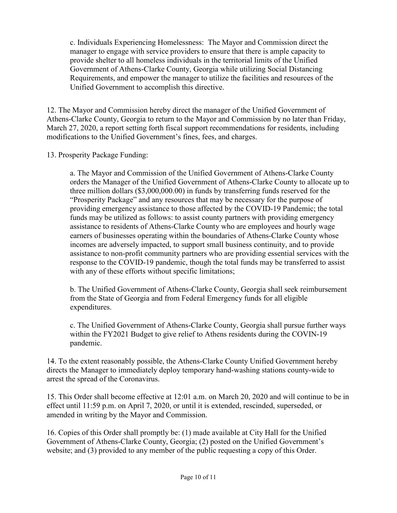c. Individuals Experiencing Homelessness: The Mayor and Commission direct the manager to engage with service providers to ensure that there is ample capacity to provide shelter to all homeless individuals in the territorial limits of the Unified Government of Athens-Clarke County, Georgia while utilizing Social Distancing Requirements, and empower the manager to utilize the facilities and resources of the Unified Government to accomplish this directive.

12. The Mayor and Commission hereby direct the manager of the Unified Government of Athens-Clarke County, Georgia to return to the Mayor and Commission by no later than Friday, March 27, 2020, a report setting forth fiscal support recommendations for residents, including modifications to the Unified Government's fines, fees, and charges.

13. Prosperity Package Funding:

a. The Mayor and Commission of the Unified Government of Athens-Clarke County orders the Manager of the Unified Government of Athens-Clarke County to allocate up to three million dollars (\$3,000,000.00) in funds by transferring funds reserved for the "Prosperity Package" and any resources that may be necessary for the purpose of providing emergency assistance to those affected by the COVID-19 Pandemic; the total funds may be utilized as follows: to assist county partners with providing emergency assistance to residents of Athens-Clarke County who are employees and hourly wage earners of businesses operating within the boundaries of Athens-Clarke County whose incomes are adversely impacted, to support small business continuity, and to provide assistance to non-profit community partners who are providing essential services with the response to the COVID-19 pandemic, though the total funds may be transferred to assist with any of these efforts without specific limitations;

b. The Unified Government of Athens-Clarke County, Georgia shall seek reimbursement from the State of Georgia and from Federal Emergency funds for all eligible expenditures.

c. The Unified Government of Athens-Clarke County, Georgia shall pursue further ways within the FY2021 Budget to give relief to Athens residents during the COVIN-19 pandemic.

14. To the extent reasonably possible, the Athens-Clarke County Unified Government hereby directs the Manager to immediately deploy temporary hand-washing stations county-wide to arrest the spread of the Coronavirus.

15. This Order shall become effective at 12:01 a.m. on March 20, 2020 and will continue to be in effect until 11:59 p.m. on April 7, 2020, or until it is extended, rescinded, superseded, or amended in writing by the Mayor and Commission.

16. Copies of this Order shall promptly be: (1) made available at City Hall for the Unified Government of Athens-Clarke County, Georgia; (2) posted on the Unified Government's website; and (3) provided to any member of the public requesting a copy of this Order.